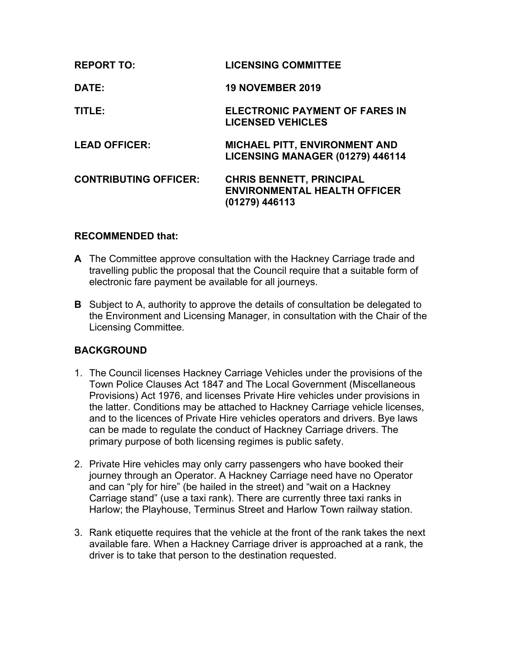| <b>REPORT TO:</b>            | <b>LICENSING COMMITTEE</b>                                                               |
|------------------------------|------------------------------------------------------------------------------------------|
| DATE:                        | <b>19 NOVEMBER 2019</b>                                                                  |
| TITLE:                       | <b>ELECTRONIC PAYMENT OF FARES IN</b><br><b>LICENSED VEHICLES</b>                        |
| <b>LEAD OFFICER:</b>         | <b>MICHAEL PITT, ENVIRONMENT AND</b><br>LICENSING MANAGER (01279) 446114                 |
| <b>CONTRIBUTING OFFICER:</b> | <b>CHRIS BENNETT, PRINCIPAL</b><br><b>ENVIRONMENTAL HEALTH OFFICER</b><br>(01279) 446113 |

### **RECOMMENDED that:**

- **A** The Committee approve consultation with the Hackney Carriage trade and travelling public the proposal that the Council require that a suitable form of electronic fare payment be available for all journeys.
- **B** Subject to A, authority to approve the details of consultation be delegated to the Environment and Licensing Manager, in consultation with the Chair of the Licensing Committee.

## **BACKGROUND**

- 1. The Council licenses Hackney Carriage Vehicles under the provisions of the Town Police Clauses Act 1847 and The Local Government (Miscellaneous Provisions) Act 1976, and licenses Private Hire vehicles under provisions in the latter. Conditions may be attached to Hackney Carriage vehicle licenses, and to the licences of Private Hire vehicles operators and drivers. Bye laws can be made to regulate the conduct of Hackney Carriage drivers. The primary purpose of both licensing regimes is public safety.
- 2. Private Hire vehicles may only carry passengers who have booked their journey through an Operator. A Hackney Carriage need have no Operator and can "ply for hire" (be hailed in the street) and "wait on a Hackney Carriage stand" (use a taxi rank). There are currently three taxi ranks in Harlow; the Playhouse, Terminus Street and Harlow Town railway station.
- 3. Rank etiquette requires that the vehicle at the front of the rank takes the next available fare. When a Hackney Carriage driver is approached at a rank, the driver is to take that person to the destination requested.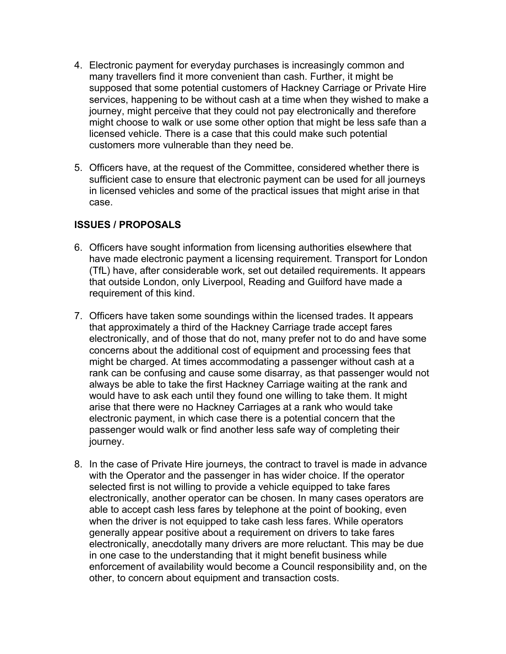- 4. Electronic payment for everyday purchases is increasingly common and many travellers find it more convenient than cash. Further, it might be supposed that some potential customers of Hackney Carriage or Private Hire services, happening to be without cash at a time when they wished to make a journey, might perceive that they could not pay electronically and therefore might choose to walk or use some other option that might be less safe than a licensed vehicle. There is a case that this could make such potential customers more vulnerable than they need be.
- 5. Officers have, at the request of the Committee, considered whether there is sufficient case to ensure that electronic payment can be used for all journeys in licensed vehicles and some of the practical issues that might arise in that case.

## **ISSUES / PROPOSALS**

- 6. Officers have sought information from licensing authorities elsewhere that have made electronic payment a licensing requirement. Transport for London (TfL) have, after considerable work, set out detailed requirements. It appears that outside London, only Liverpool, Reading and Guilford have made a requirement of this kind.
- 7. Officers have taken some soundings within the licensed trades. It appears that approximately a third of the Hackney Carriage trade accept fares electronically, and of those that do not, many prefer not to do and have some concerns about the additional cost of equipment and processing fees that might be charged. At times accommodating a passenger without cash at a rank can be confusing and cause some disarray, as that passenger would not always be able to take the first Hackney Carriage waiting at the rank and would have to ask each until they found one willing to take them. It might arise that there were no Hackney Carriages at a rank who would take electronic payment, in which case there is a potential concern that the passenger would walk or find another less safe way of completing their journey.
- 8. In the case of Private Hire journeys, the contract to travel is made in advance with the Operator and the passenger in has wider choice. If the operator selected first is not willing to provide a vehicle equipped to take fares electronically, another operator can be chosen. In many cases operators are able to accept cash less fares by telephone at the point of booking, even when the driver is not equipped to take cash less fares. While operators generally appear positive about a requirement on drivers to take fares electronically, anecdotally many drivers are more reluctant. This may be due in one case to the understanding that it might benefit business while enforcement of availability would become a Council responsibility and, on the other, to concern about equipment and transaction costs.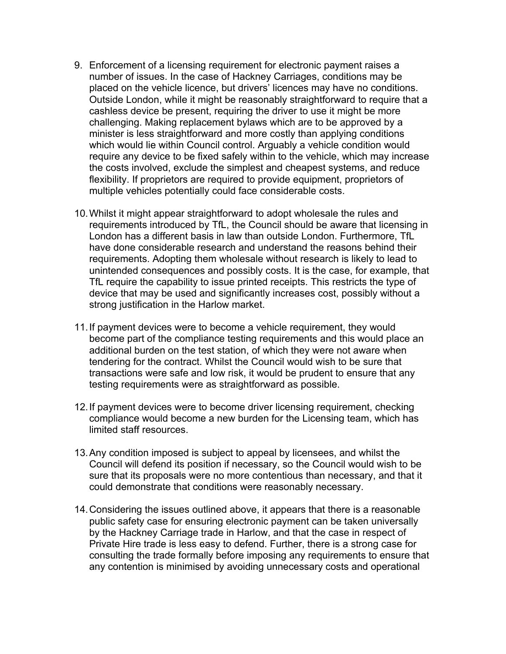- 9. Enforcement of a licensing requirement for electronic payment raises a number of issues. In the case of Hackney Carriages, conditions may be placed on the vehicle licence, but drivers' licences may have no conditions. Outside London, while it might be reasonably straightforward to require that a cashless device be present, requiring the driver to use it might be more challenging. Making replacement bylaws which are to be approved by a minister is less straightforward and more costly than applying conditions which would lie within Council control. Arguably a vehicle condition would require any device to be fixed safely within to the vehicle, which may increase the costs involved, exclude the simplest and cheapest systems, and reduce flexibility. If proprietors are required to provide equipment, proprietors of multiple vehicles potentially could face considerable costs.
- 10.Whilst it might appear straightforward to adopt wholesale the rules and requirements introduced by TfL, the Council should be aware that licensing in London has a different basis in law than outside London. Furthermore, TfL have done considerable research and understand the reasons behind their requirements. Adopting them wholesale without research is likely to lead to unintended consequences and possibly costs. It is the case, for example, that TfL require the capability to issue printed receipts. This restricts the type of device that may be used and significantly increases cost, possibly without a strong justification in the Harlow market.
- 11.If payment devices were to become a vehicle requirement, they would become part of the compliance testing requirements and this would place an additional burden on the test station, of which they were not aware when tendering for the contract. Whilst the Council would wish to be sure that transactions were safe and low risk, it would be prudent to ensure that any testing requirements were as straightforward as possible.
- 12.If payment devices were to become driver licensing requirement, checking compliance would become a new burden for the Licensing team, which has limited staff resources.
- 13.Any condition imposed is subject to appeal by licensees, and whilst the Council will defend its position if necessary, so the Council would wish to be sure that its proposals were no more contentious than necessary, and that it could demonstrate that conditions were reasonably necessary.
- 14.Considering the issues outlined above, it appears that there is a reasonable public safety case for ensuring electronic payment can be taken universally by the Hackney Carriage trade in Harlow, and that the case in respect of Private Hire trade is less easy to defend. Further, there is a strong case for consulting the trade formally before imposing any requirements to ensure that any contention is minimised by avoiding unnecessary costs and operational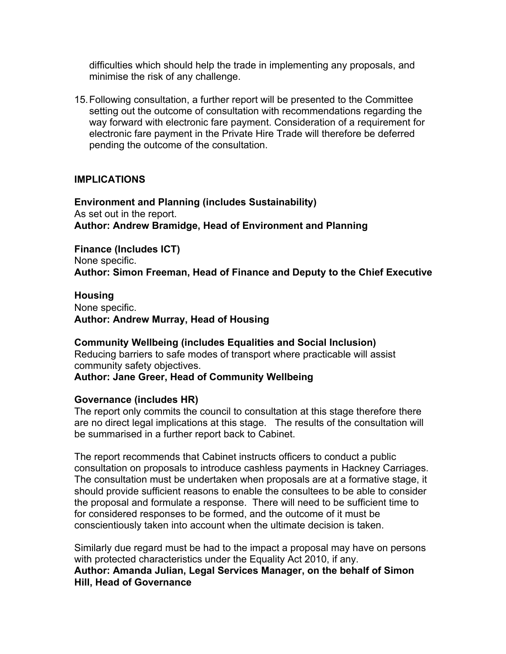difficulties which should help the trade in implementing any proposals, and minimise the risk of any challenge.

15.Following consultation, a further report will be presented to the Committee setting out the outcome of consultation with recommendations regarding the way forward with electronic fare payment. Consideration of a requirement for electronic fare payment in the Private Hire Trade will therefore be deferred pending the outcome of the consultation.

### **IMPLICATIONS**

**Environment and Planning (includes Sustainability)** As set out in the report. **Author: Andrew Bramidge, Head of Environment and Planning**

**Finance (Includes ICT)** None specific. **Author: Simon Freeman, Head of Finance and Deputy to the Chief Executive**

**Housing** None specific. **Author: Andrew Murray, Head of Housing**

**Community Wellbeing (includes Equalities and Social Inclusion)** Reducing barriers to safe modes of transport where practicable will assist community safety objectives. **Author: Jane Greer, Head of Community Wellbeing**

#### **Governance (includes HR)**

The report only commits the council to consultation at this stage therefore there are no direct legal implications at this stage. The results of the consultation will be summarised in a further report back to Cabinet.

The report recommends that Cabinet instructs officers to conduct a public consultation on proposals to introduce cashless payments in Hackney Carriages. The consultation must be undertaken when proposals are at a formative stage, it should provide sufficient reasons to enable the consultees to be able to consider the proposal and formulate a response. There will need to be sufficient time to for considered responses to be formed, and the outcome of it must be conscientiously taken into account when the ultimate decision is taken.

Similarly due regard must be had to the impact a proposal may have on persons with protected characteristics under the Equality Act 2010, if any. **Author: Amanda Julian, Legal Services Manager, on the behalf of Simon Hill, Head of Governance**